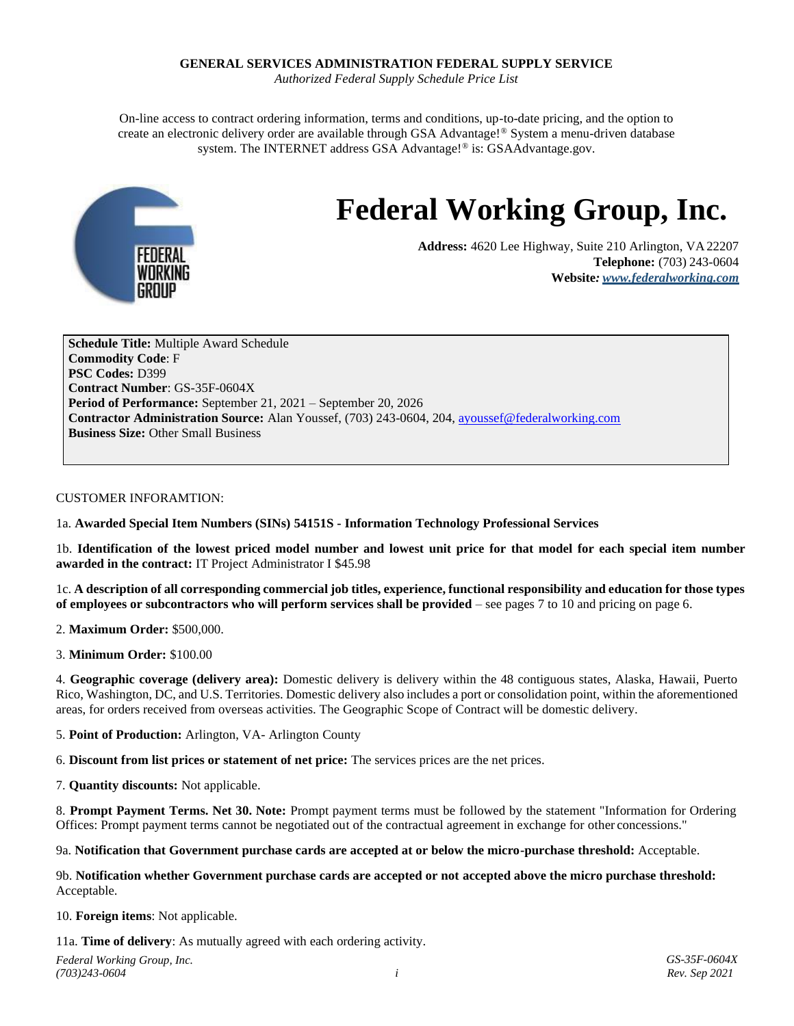#### **GENERAL SERVICES ADMINISTRATION FEDERAL SUPPLY SERVICE**

*Authorized Federal Supply Schedule Price List*

On-line access to contract ordering information, terms and conditions, up-to-date pricing, and the option to create an electronic delivery order are available through GSA Advantage!® System a menu-driven database system. The INTERNET address GSA Advantage!® is: GSAAdvantage.gov.



# **Federal Working Group, Inc.**

**Address:** 4620 Lee Highway, Suite 210 Arlington, VA22207 **Telephone:** (703) 243-0604 **Website***: [www.federalworking.com](http://www.federalworking.com/)*

**Schedule Title:** Multiple Award Schedule **Commodity Code**: F **PSC Codes:** D399 **Contract Number**: GS-35F-0604X **Period of Performance:** September 21, 2021 – September 20, 2026 **Contractor Administration Source:** Alan Youssef, (703) 243-0604, 204[, ayoussef@federalworking.com](mailto:ayoussef@federalworking.com) **Business Size:** Other Small Business

#### CUSTOMER INFORAMTION:

1a. **Awarded Special Item Numbers (SINs) 54151S - Information Technology Professional Services**

1b. **Identification of the lowest priced model number and lowest unit price for that model for each special item number awarded in the contract:** IT Project Administrator I \$45.98

1c. **A description of all corresponding commercial job titles, experience, functional responsibility and education for those types of employees or subcontractors who will perform services shall be provided** – see pages 7 to 10 and pricing on page 6.

2. **Maximum Order:** \$500,000.

3. **Minimum Order:** \$100.00

4. **Geographic coverage (delivery area):** Domestic delivery is delivery within the 48 contiguous states, Alaska, Hawaii, Puerto Rico, Washington, DC, and U.S. Territories. Domestic delivery also includes a port or consolidation point, within the aforementioned areas, for orders received from overseas activities. The Geographic Scope of Contract will be domestic delivery.

5. **Point of Production:** Arlington, VA- Arlington County

6. **Discount from list prices or statement of net price:** The services prices are the net prices.

7. **Quantity discounts:** Not applicable.

8. **Prompt Payment Terms. Net 30. Note:** Prompt payment terms must be followed by the statement "Information for Ordering Offices: Prompt payment terms cannot be negotiated out of the contractual agreement in exchange for other concessions."

9a. **Notification that Government purchase cards are accepted at or below the micro-purchase threshold:** Acceptable.

#### 9b. **Notification whether Government purchase cards are accepted or not accepted above the micro purchase threshold:** Acceptable.

10. **Foreign items**: Not applicable.

11a. **Time of delivery**: As mutually agreed with each ordering activity.

*Federal Working Group, Inc. (703)243-0604*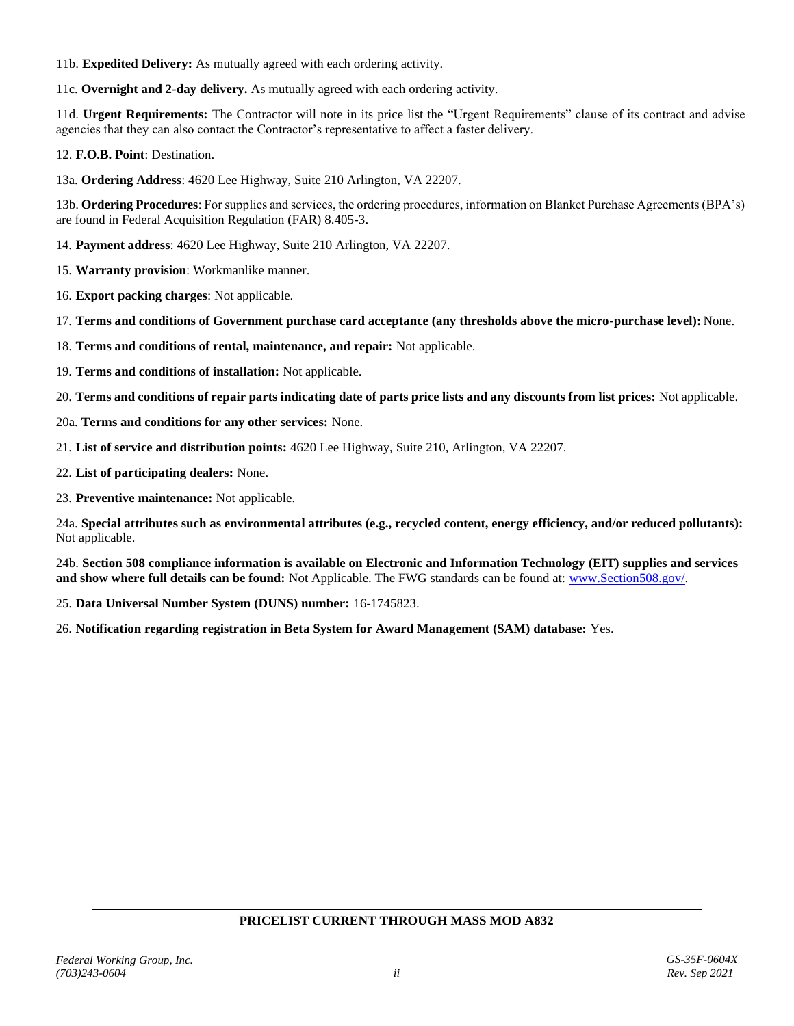11b. **Expedited Delivery:** As mutually agreed with each ordering activity.

11c. **Overnight and 2-day delivery.** As mutually agreed with each ordering activity.

11d. **Urgent Requirements:** The Contractor will note in its price list the "Urgent Requirements" clause of its contract and advise agencies that they can also contact the Contractor's representative to affect a faster delivery.

12. **F.O.B. Point**: Destination.

13a. **Ordering Address**: 4620 Lee Highway, Suite 210 Arlington, VA 22207.

13b. **Ordering Procedures**: For supplies and services, the ordering procedures, information on Blanket Purchase Agreements (BPA's) are found in Federal Acquisition Regulation (FAR) 8.405-3.

14. **Payment address**: 4620 Lee Highway, Suite 210 Arlington, VA 22207.

15. **Warranty provision**: Workmanlike manner.

16. **Export packing charges**: Not applicable.

17. **Terms and conditions of Government purchase card acceptance (any thresholds above the micro-purchase level):** None.

18. **Terms and conditions of rental, maintenance, and repair:** Not applicable.

19. **Terms and conditions of installation:** Not applicable.

20. Terms and conditions of repair parts indicating date of parts price lists and any discounts from list prices: Not applicable.

20a. **Terms and conditions for any other services:** None.

21. **List of service and distribution points:** 4620 Lee Highway, Suite 210, Arlington, VA 22207.

22. **List of participating dealers:** None.

23. **Preventive maintenance:** Not applicable.

24a. **Special attributes such as environmental attributes (e.g., recycled content, energy efficiency, and/or reduced pollutants):** Not applicable.

24b. **Section 508 compliance information is available on Electronic and Information Technology (EIT) supplies and services and show where full details can be found:** Not Applicable. The FWG standards can be found at[: www.Section508.gov/.](http://www.section508.gov/)

25. **Data Universal Number System (DUNS) number:** 16-1745823.

26. **Notification regarding registration in Beta System for Award Management (SAM) database:** Yes.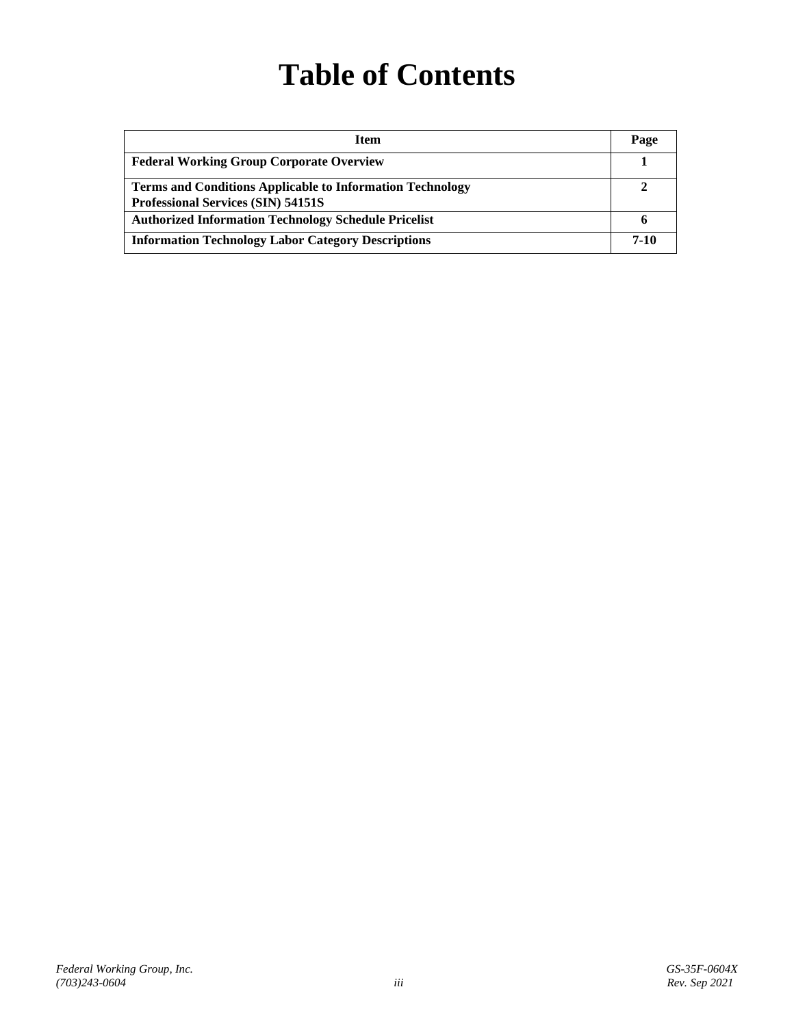# **Table of Contents**

| <b>Item</b>                                                                                                   | Page |
|---------------------------------------------------------------------------------------------------------------|------|
| <b>Federal Working Group Corporate Overview</b>                                                               |      |
| <b>Terms and Conditions Applicable to Information Technology</b><br><b>Professional Services (SIN) 54151S</b> |      |
| <b>Authorized Information Technology Schedule Pricelist</b>                                                   |      |
| <b>Information Technology Labor Category Descriptions</b>                                                     | 7-10 |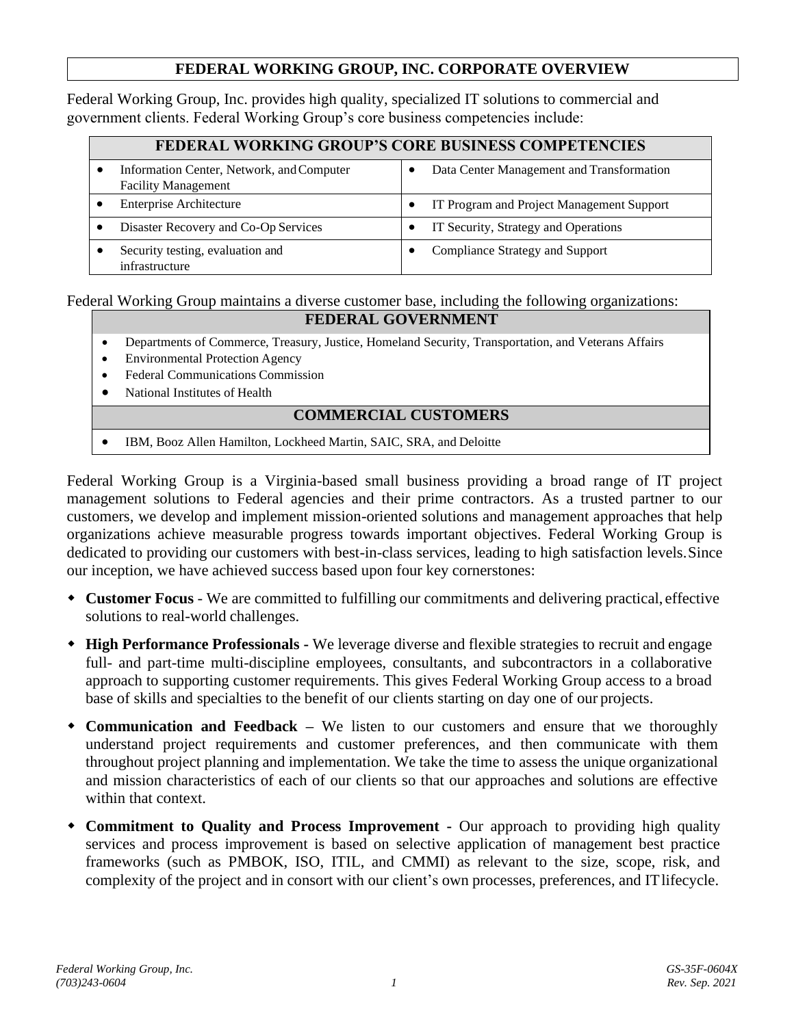### **FEDERAL WORKING GROUP, INC. CORPORATE OVERVIEW**

Federal Working Group, Inc. provides high quality, specialized IT solutions to commercial and government clients. Federal Working Group's core business competencies include:

| <b>FEDERAL WORKING GROUP'S CORE BUSINESS COMPETENCIES</b>               |                                           |  |  |
|-------------------------------------------------------------------------|-------------------------------------------|--|--|
| Information Center, Network, and Computer<br><b>Facility Management</b> | Data Center Management and Transformation |  |  |
| <b>Enterprise Architecture</b>                                          | IT Program and Project Management Support |  |  |
| Disaster Recovery and Co-Op Services                                    | IT Security, Strategy and Operations      |  |  |
| Security testing, evaluation and<br>infrastructure                      | Compliance Strategy and Support           |  |  |

#### Federal Working Group maintains a diverse customer base, including the following organizations: **FEDERAL GOVERNMENT**

- Departments of Commerce, Treasury, Justice, Homeland Security, Transportation, and Veterans Affairs
- Environmental Protection Agency
- Federal Communications Commission
- National Institutes of Health

#### **COMMERCIAL CUSTOMERS**

• IBM, Booz Allen Hamilton, Lockheed Martin, SAIC, SRA, and Deloitte

Federal Working Group is a Virginia-based small business providing a broad range of IT project management solutions to Federal agencies and their prime contractors. As a trusted partner to our customers, we develop and implement mission-oriented solutions and management approaches that help organizations achieve measurable progress towards important objectives. Federal Working Group is dedicated to providing our customers with best-in-class services, leading to high satisfaction levels.Since our inception, we have achieved success based upon four key cornerstones:

- **Customer Focus** We are committed to fulfilling our commitments and delivering practical, effective solutions to real-world challenges.
- **High Performance Professionals -** We leverage diverse and flexible strategies to recruit and engage full- and part-time multi-discipline employees, consultants, and subcontractors in a collaborative approach to supporting customer requirements. This gives Federal Working Group access to a broad base of skills and specialties to the benefit of our clients starting on day one of our projects.
- **Communication and Feedback –** We listen to our customers and ensure that we thoroughly understand project requirements and customer preferences, and then communicate with them throughout project planning and implementation. We take the time to assess the unique organizational and mission characteristics of each of our clients so that our approaches and solutions are effective within that context.
- **Commitment to Quality and Process Improvement -** Our approach to providing high quality services and process improvement is based on selective application of management best practice frameworks (such as PMBOK, ISO, ITIL, and CMMI) as relevant to the size, scope, risk, and complexity of the project and in consort with our client's own processes, preferences, and ITlifecycle.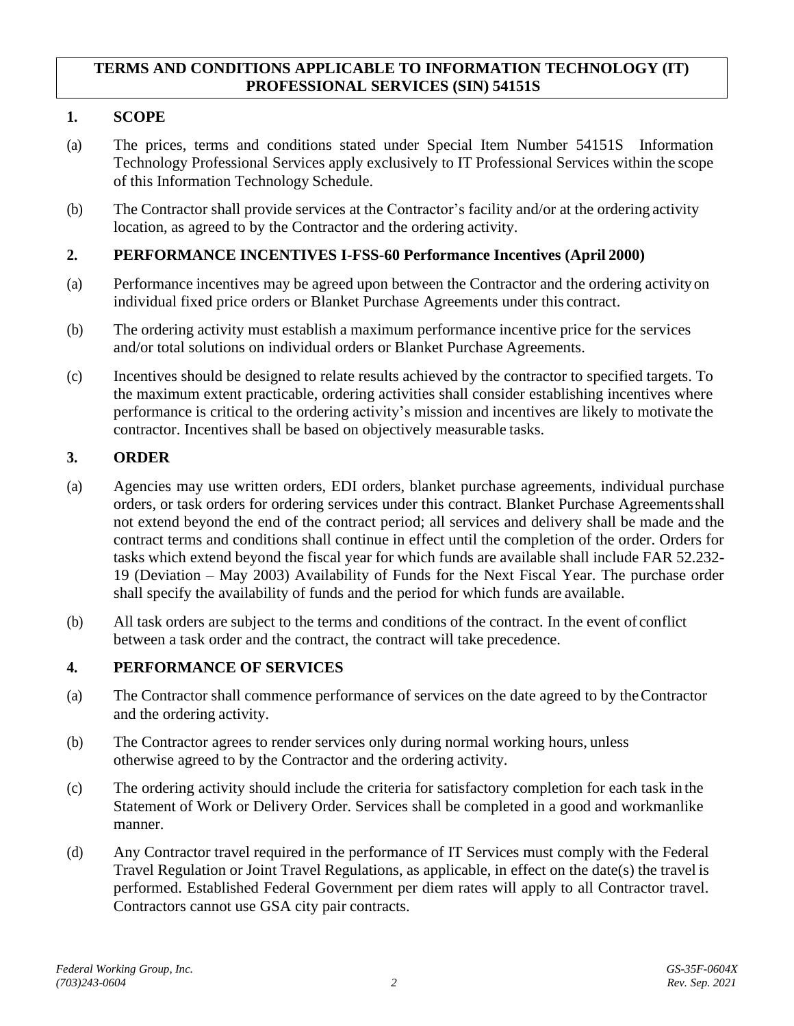#### **TERMS AND CONDITIONS APPLICABLE TO INFORMATION TECHNOLOGY (IT) PROFESSIONAL SERVICES (SIN) 54151S**

## **1. SCOPE**

- (a) The prices, terms and conditions stated under Special Item Number 54151S Information Technology Professional Services apply exclusively to IT Professional Services within the scope of this Information Technology Schedule.
- (b) The Contractor shall provide services at the Contractor's facility and/or at the ordering activity location, as agreed to by the Contractor and the ordering activity.

#### **2. PERFORMANCE INCENTIVES I-FSS-60 Performance Incentives (April 2000)**

- (a) Performance incentives may be agreed upon between the Contractor and the ordering activityon individual fixed price orders or Blanket Purchase Agreements under this contract.
- (b) The ordering activity must establish a maximum performance incentive price for the services and/or total solutions on individual orders or Blanket Purchase Agreements.
- (c) Incentives should be designed to relate results achieved by the contractor to specified targets. To the maximum extent practicable, ordering activities shall consider establishing incentives where performance is critical to the ordering activity's mission and incentives are likely to motivate the contractor. Incentives shall be based on objectively measurable tasks.

### **3. ORDER**

- (a) Agencies may use written orders, EDI orders, blanket purchase agreements, individual purchase orders, or task orders for ordering services under this contract. Blanket Purchase Agreementsshall not extend beyond the end of the contract period; all services and delivery shall be made and the contract terms and conditions shall continue in effect until the completion of the order. Orders for tasks which extend beyond the fiscal year for which funds are available shall include FAR 52.232- 19 (Deviation – May 2003) Availability of Funds for the Next Fiscal Year. The purchase order shall specify the availability of funds and the period for which funds are available.
- (b) All task orders are subject to the terms and conditions of the contract. In the event of conflict between a task order and the contract, the contract will take precedence.

#### **4. PERFORMANCE OF SERVICES**

- (a) The Contractor shall commence performance of services on the date agreed to by theContractor and the ordering activity.
- (b) The Contractor agrees to render services only during normal working hours, unless otherwise agreed to by the Contractor and the ordering activity.
- (c) The ordering activity should include the criteria for satisfactory completion for each task in the Statement of Work or Delivery Order. Services shall be completed in a good and workmanlike manner.
- (d) Any Contractor travel required in the performance of IT Services must comply with the Federal Travel Regulation or Joint Travel Regulations, as applicable, in effect on the date(s) the travel is performed. Established Federal Government per diem rates will apply to all Contractor travel. Contractors cannot use GSA city pair contracts.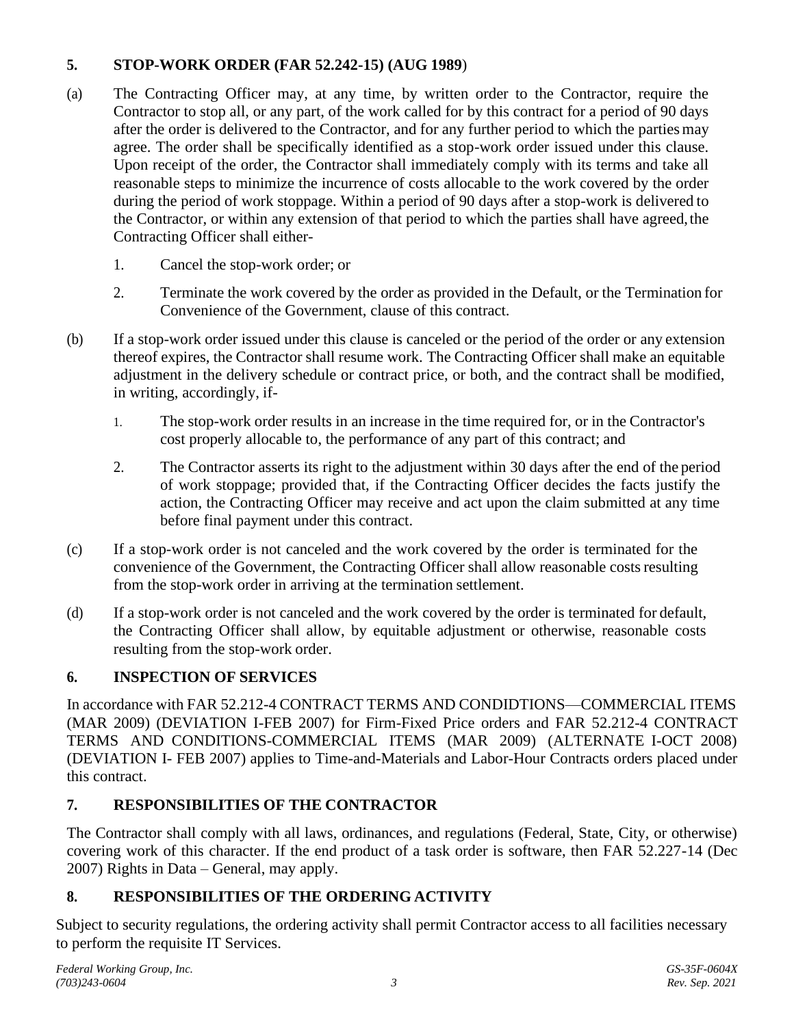# **5. STOP-WORK ORDER (FAR 52.242-15) (AUG 1989**)

- (a) The Contracting Officer may, at any time, by written order to the Contractor, require the Contractor to stop all, or any part, of the work called for by this contract for a period of 90 days after the order is delivered to the Contractor, and for any further period to which the partiesmay agree. The order shall be specifically identified as a stop-work order issued under this clause. Upon receipt of the order, the Contractor shall immediately comply with its terms and take all reasonable steps to minimize the incurrence of costs allocable to the work covered by the order during the period of work stoppage. Within a period of 90 days after a stop-work is delivered to the Contractor, or within any extension of that period to which the parties shall have agreed, the Contracting Officer shall either-
	- 1. Cancel the stop-work order; or
	- 2. Terminate the work covered by the order as provided in the Default, or the Termination for Convenience of the Government, clause of this contract.
- (b) If a stop-work order issued under this clause is canceled or the period of the order or any extension thereof expires, the Contractor shall resume work. The Contracting Officer shall make an equitable adjustment in the delivery schedule or contract price, or both, and the contract shall be modified, in writing, accordingly, if-
	- 1. The stop-work order results in an increase in the time required for, or in the Contractor's cost properly allocable to, the performance of any part of this contract; and
	- 2. The Contractor asserts its right to the adjustment within 30 days after the end of the period of work stoppage; provided that, if the Contracting Officer decides the facts justify the action, the Contracting Officer may receive and act upon the claim submitted at any time before final payment under this contract.
- (c) If a stop-work order is not canceled and the work covered by the order is terminated for the convenience of the Government, the Contracting Officer shall allow reasonable costsresulting from the stop-work order in arriving at the termination settlement.
- (d) If a stop-work order is not canceled and the work covered by the order is terminated for default, the Contracting Officer shall allow, by equitable adjustment or otherwise, reasonable costs resulting from the stop-work order.

# **6. INSPECTION OF SERVICES**

In accordance with FAR 52.212-4 CONTRACT TERMS AND CONDIDTIONS—COMMERCIAL ITEMS (MAR 2009) (DEVIATION I-FEB 2007) for Firm-Fixed Price orders and FAR 52.212-4 CONTRACT TERMS AND CONDITIONS-COMMERCIAL ITEMS (MAR 2009) (ALTERNATE I-OCT 2008) (DEVIATION I- FEB 2007) applies to Time-and-Materials and Labor-Hour Contracts orders placed under this contract.

# **7. RESPONSIBILITIES OF THE CONTRACTOR**

The Contractor shall comply with all laws, ordinances, and regulations (Federal, State, City, or otherwise) covering work of this character. If the end product of a task order is software, then FAR 52.227-14 (Dec 2007) Rights in Data – General, may apply.

# **8. RESPONSIBILITIES OF THE ORDERING ACTIVITY**

Subject to security regulations, the ordering activity shall permit Contractor access to all facilities necessary to perform the requisite IT Services.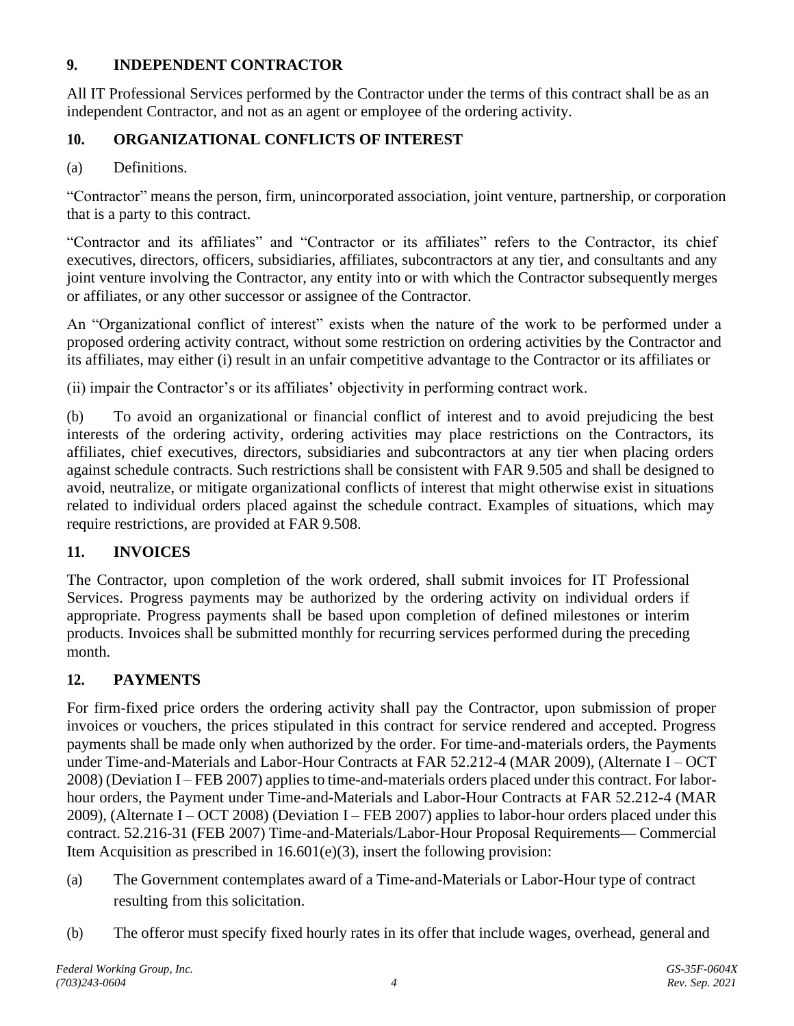# **9. INDEPENDENT CONTRACTOR**

All IT Professional Services performed by the Contractor under the terms of this contract shall be as an independent Contractor, and not as an agent or employee of the ordering activity.

# **10. ORGANIZATIONAL CONFLICTS OF INTEREST**

(a) Definitions.

"Contractor" means the person, firm, unincorporated association, joint venture, partnership, or corporation that is a party to this contract.

"Contractor and its affiliates" and "Contractor or its affiliates" refers to the Contractor, its chief executives, directors, officers, subsidiaries, affiliates, subcontractors at any tier, and consultants and any joint venture involving the Contractor, any entity into or with which the Contractor subsequently merges or affiliates, or any other successor or assignee of the Contractor.

An "Organizational conflict of interest" exists when the nature of the work to be performed under a proposed ordering activity contract, without some restriction on ordering activities by the Contractor and its affiliates, may either (i) result in an unfair competitive advantage to the Contractor or its affiliates or

(ii) impair the Contractor's or its affiliates' objectivity in performing contract work.

(b) To avoid an organizational or financial conflict of interest and to avoid prejudicing the best interests of the ordering activity, ordering activities may place restrictions on the Contractors, its affiliates, chief executives, directors, subsidiaries and subcontractors at any tier when placing orders against schedule contracts. Such restrictions shall be consistent with FAR 9.505 and shall be designed to avoid, neutralize, or mitigate organizational conflicts of interest that might otherwise exist in situations related to individual orders placed against the schedule contract. Examples of situations, which may require restrictions, are provided at FAR 9.508.

# **11. INVOICES**

The Contractor, upon completion of the work ordered, shall submit invoices for IT Professional Services. Progress payments may be authorized by the ordering activity on individual orders if appropriate. Progress payments shall be based upon completion of defined milestones or interim products. Invoices shall be submitted monthly for recurring services performed during the preceding month.

# **12. PAYMENTS**

For firm-fixed price orders the ordering activity shall pay the Contractor, upon submission of proper invoices or vouchers, the prices stipulated in this contract for service rendered and accepted. Progress payments shall be made only when authorized by the order. For time-and-materials orders, the Payments under Time-and-Materials and Labor-Hour Contracts at FAR 52.212-4 (MAR 2009), (Alternate I – OCT 2008) (Deviation I – FEB 2007) applies to time-and-materials orders placed under this contract. For laborhour orders, the Payment under Time-and-Materials and Labor-Hour Contracts at FAR 52.212-4 (MAR 2009), (Alternate I – OCT 2008) (Deviation I – FEB 2007) applies to labor-hour orders placed under this contract. 52.216-31 (FEB 2007) Time-and-Materials/Labor-Hour Proposal Requirements**—** Commercial Item Acquisition as prescribed in  $16.601(e)(3)$ , insert the following provision:

- (a) The Government contemplates award of a Time-and-Materials or Labor-Hour type of contract resulting from this solicitation.
- (b) The offeror must specify fixed hourly rates in its offer that include wages, overhead, general and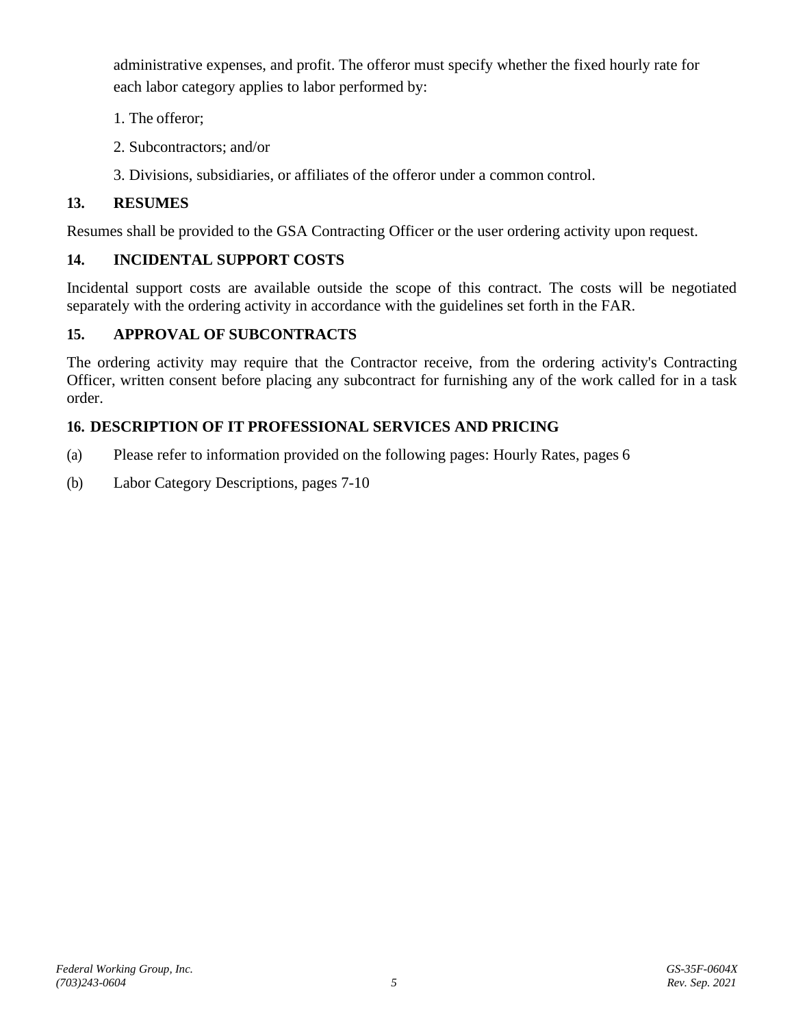administrative expenses, and profit. The offeror must specify whether the fixed hourly rate for each labor category applies to labor performed by:

- 1. The offeror;
- 2. Subcontractors; and/or
- 3. Divisions, subsidiaries, or affiliates of the offeror under a common control.

# **13. RESUMES**

Resumes shall be provided to the GSA Contracting Officer or the user ordering activity upon request.

# **14. INCIDENTAL SUPPORT COSTS**

Incidental support costs are available outside the scope of this contract. The costs will be negotiated separately with the ordering activity in accordance with the guidelines set forth in the FAR.

# **15. APPROVAL OF SUBCONTRACTS**

The ordering activity may require that the Contractor receive, from the ordering activity's Contracting Officer, written consent before placing any subcontract for furnishing any of the work called for in a task order.

# **16. DESCRIPTION OF IT PROFESSIONAL SERVICES AND PRICING**

- (a) Please refer to information provided on the following pages: Hourly Rates, pages 6
- (b) Labor Category Descriptions, pages 7-10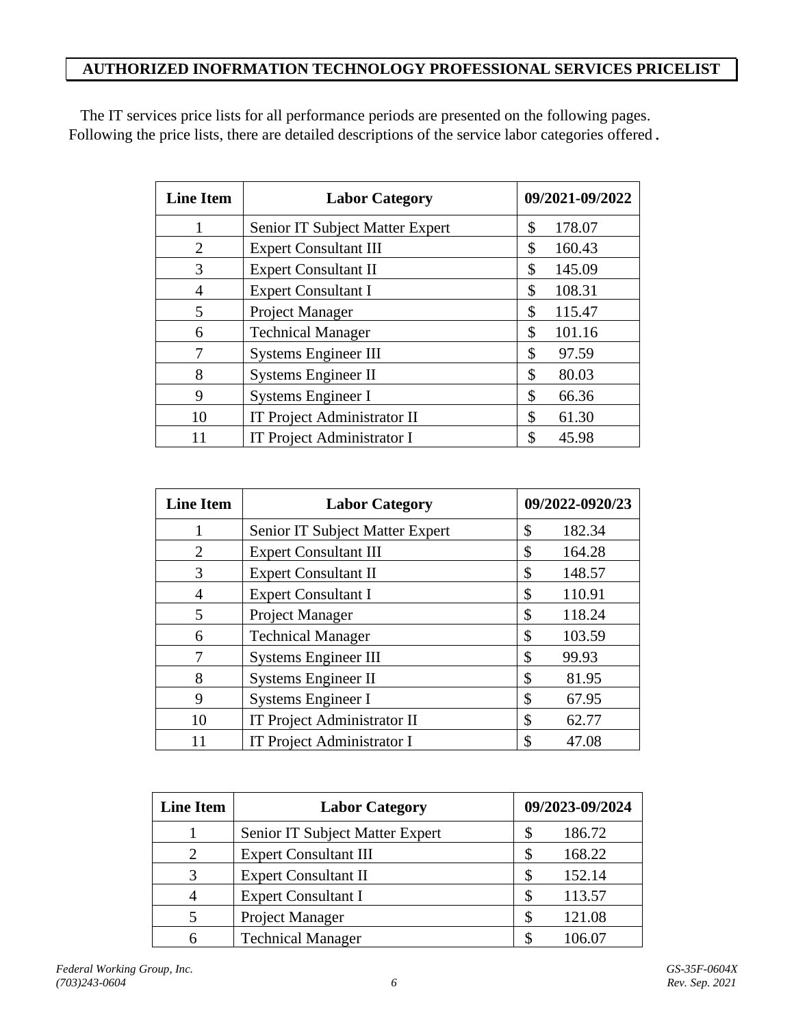# **AUTHORIZED INOFRMATION TECHNOLOGY PROFESSIONAL SERVICES PRICELIST**

The IT services price lists for all performance periods are presented on the following pages. Following the price lists, there are detailed descriptions of the service labor categories offered.

| <b>Line Item</b> | <b>Labor Category</b>              | 09/2021-09/2022 |  |
|------------------|------------------------------------|-----------------|--|
|                  | Senior IT Subject Matter Expert    | 178.07<br>\$    |  |
| $\overline{2}$   | <b>Expert Consultant III</b>       | 160.43<br>\$    |  |
| 3                | <b>Expert Consultant II</b>        | \$<br>145.09    |  |
| 4                | <b>Expert Consultant I</b>         | 108.31<br>\$    |  |
| 5                | Project Manager                    | \$<br>115.47    |  |
| 6                | <b>Technical Manager</b>           | \$<br>101.16    |  |
| 7                | <b>Systems Engineer III</b>        | \$<br>97.59     |  |
| 8                | <b>Systems Engineer II</b>         | \$<br>80.03     |  |
| 9                | Systems Engineer I                 | \$<br>66.36     |  |
| 10               | <b>IT Project Administrator II</b> | \$<br>61.30     |  |
|                  | <b>IT Project Administrator I</b>  | \$<br>45.98     |  |

| <b>Line Item</b> | <b>Labor Category</b>           | 09/2022-0920/23 |        |
|------------------|---------------------------------|-----------------|--------|
| 1                | Senior IT Subject Matter Expert | \$              | 182.34 |
| $\overline{2}$   | <b>Expert Consultant III</b>    |                 | 164.28 |
| 3                | <b>Expert Consultant II</b>     | \$              | 148.57 |
| 4                | <b>Expert Consultant I</b>      | \$              | 110.91 |
| 5                | Project Manager                 | \$              | 118.24 |
| 6                | <b>Technical Manager</b>        | \$              | 103.59 |
|                  | <b>Systems Engineer III</b>     | \$              | 99.93  |
| 8                | <b>Systems Engineer II</b>      | \$              | 81.95  |
| 9                | <b>Systems Engineer I</b>       | \$              | 67.95  |
| 10               | IT Project Administrator II     | S               | 62.77  |
|                  | IT Project Administrator I      |                 | 47.08  |

| <b>Line Item</b>            | <b>Labor Category</b>           | 09/2023-09/2024 |        |
|-----------------------------|---------------------------------|-----------------|--------|
|                             | Senior IT Subject Matter Expert |                 | 186.72 |
| $\mathcal{D}_{\mathcal{A}}$ | <b>Expert Consultant III</b>    |                 | 168.22 |
| 3                           | <b>Expert Consultant II</b>     |                 | 152.14 |
|                             | <b>Expert Consultant I</b>      |                 | 113.57 |
|                             | Project Manager                 |                 | 121.08 |
|                             | <b>Technical Manager</b>        |                 | 106.07 |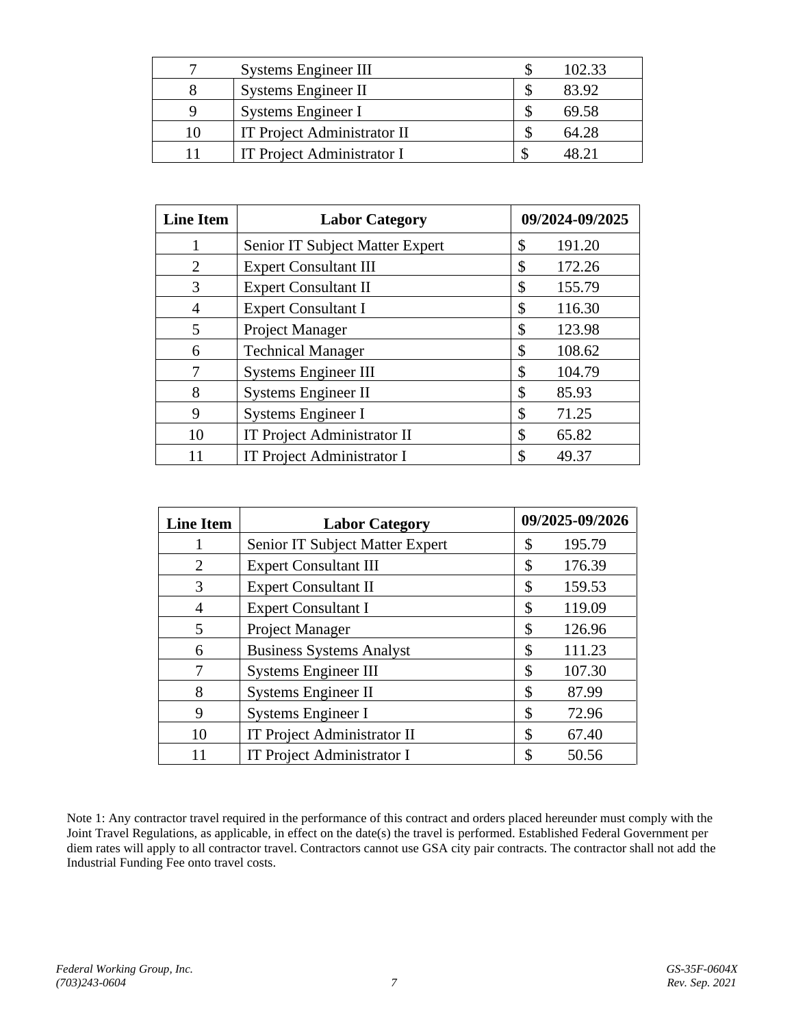|    | <b>Systems Engineer III</b> | 102.33 |
|----|-----------------------------|--------|
|    | Systems Engineer II         | 83.92  |
|    | Systems Engineer I          | 69.58  |
| 10 | IT Project Administrator II | 64.28  |
|    | IT Project Administrator I  |        |

| <b>Line Item</b> | <b>Labor Category</b>              | 09/2024-09/2025 |        |
|------------------|------------------------------------|-----------------|--------|
|                  | Senior IT Subject Matter Expert    | \$              | 191.20 |
| $\overline{2}$   | <b>Expert Consultant III</b>       | \$              | 172.26 |
| 3                | <b>Expert Consultant II</b>        | \$              | 155.79 |
| 4                | <b>Expert Consultant I</b>         | \$              | 116.30 |
| 5                | Project Manager                    | \$              | 123.98 |
| 6                | <b>Technical Manager</b>           | \$              | 108.62 |
|                  | <b>Systems Engineer III</b>        | \$              | 104.79 |
| 8                | Systems Engineer II                | \$              | 85.93  |
| 9                | Systems Engineer I                 | \$              | 71.25  |
| 10               | <b>IT Project Administrator II</b> | \$              | 65.82  |
| 11               | IT Project Administrator I         | \$              | 49.37  |

| <b>Line Item</b>      | <b>Labor Category</b>             | 09/2025-09/2026 |        |
|-----------------------|-----------------------------------|-----------------|--------|
|                       | Senior IT Subject Matter Expert   | \$              | 195.79 |
| $\mathcal{D}_{\cdot}$ | <b>Expert Consultant III</b>      | \$              | 176.39 |
| 3                     | <b>Expert Consultant II</b>       | \$              | 159.53 |
| 4                     | <b>Expert Consultant I</b>        | \$              | 119.09 |
| 5                     | Project Manager                   | \$              | 126.96 |
| 6                     | <b>Business Systems Analyst</b>   | \$              | 111.23 |
|                       | <b>Systems Engineer III</b>       | \$              | 107.30 |
| 8                     | <b>Systems Engineer II</b>        | \$              | 87.99  |
| 9                     | Systems Engineer I                | \$              | 72.96  |
| 10                    | IT Project Administrator II       | \$              | 67.40  |
|                       | <b>IT Project Administrator I</b> | S               | 50.56  |

Note 1: Any contractor travel required in the performance of this contract and orders placed hereunder must comply with the Joint Travel Regulations, as applicable, in effect on the date(s) the travel is performed. Established Federal Government per diem rates will apply to all contractor travel. Contractors cannot use GSA city pair contracts. The contractor shall not add the Industrial Funding Fee onto travel costs.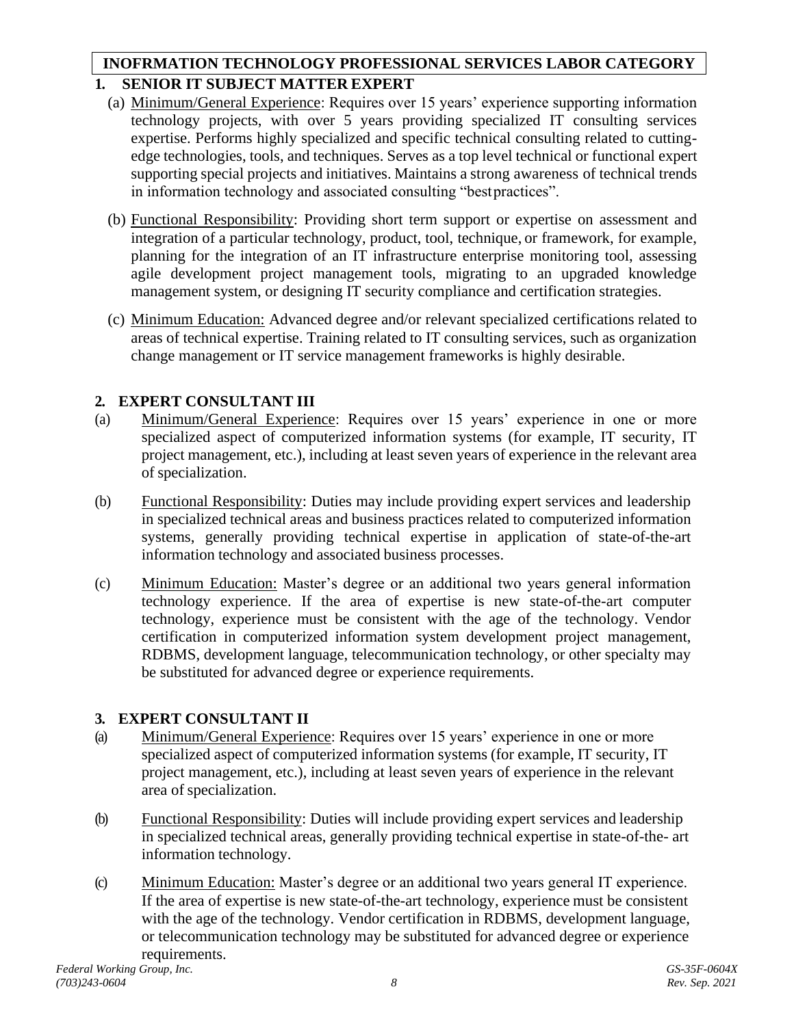# **1. SENIOR IT SUBJECT MATTER EXPERT INOFRMATION TECHNOLOGY PROFESSIONAL SERVICES LABOR CATEGORY**

- (a) Minimum/General Experience: Requires over 15 years' experience supporting information technology projects, with over 5 years providing specialized IT consulting services expertise. Performs highly specialized and specific technical consulting related to cuttingedge technologies, tools, and techniques. Serves as a top level technical or functional expert supporting special projects and initiatives. Maintains a strong awareness of technical trends in information technology and associated consulting "bestpractices".
- (b) Functional Responsibility: Providing short term support or expertise on assessment and integration of a particular technology, product, tool, technique, or framework, for example, planning for the integration of an IT infrastructure enterprise monitoring tool, assessing agile development project management tools, migrating to an upgraded knowledge management system, or designing IT security compliance and certification strategies.
- (c) Minimum Education: Advanced degree and/or relevant specialized certifications related to areas of technical expertise. Training related to IT consulting services, such as organization change management or IT service management frameworks is highly desirable.

# **2. EXPERT CONSULTANT III**

- (a) Minimum/General Experience: Requires over 15 years' experience in one or more specialized aspect of computerized information systems (for example, IT security, IT project management, etc.), including at least seven years of experience in the relevant area of specialization.
- (b) Functional Responsibility: Duties may include providing expert services and leadership in specialized technical areas and business practices related to computerized information systems, generally providing technical expertise in application of state-of-the-art information technology and associated business processes.
- (c) Minimum Education: Master's degree or an additional two years general information technology experience. If the area of expertise is new state-of-the-art computer technology, experience must be consistent with the age of the technology. Vendor certification in computerized information system development project management, RDBMS, development language, telecommunication technology, or other specialty may be substituted for advanced degree or experience requirements.

# **3. EXPERT CONSULTANT II**

- (a) Minimum/General Experience: Requires over 15 years' experience in one or more specialized aspect of computerized information systems (for example, IT security, IT project management, etc.), including at least seven years of experience in the relevant area of specialization.
- (b) Functional Responsibility: Duties will include providing expert services and leadership in specialized technical areas, generally providing technical expertise in state-of-the- art information technology.
- (c) Minimum Education: Master's degree or an additional two years general IT experience. If the area of expertise is new state-of-the-art technology, experience must be consistent with the age of the technology. Vendor certification in RDBMS, development language, or telecommunication technology may be substituted for advanced degree or experience requirements.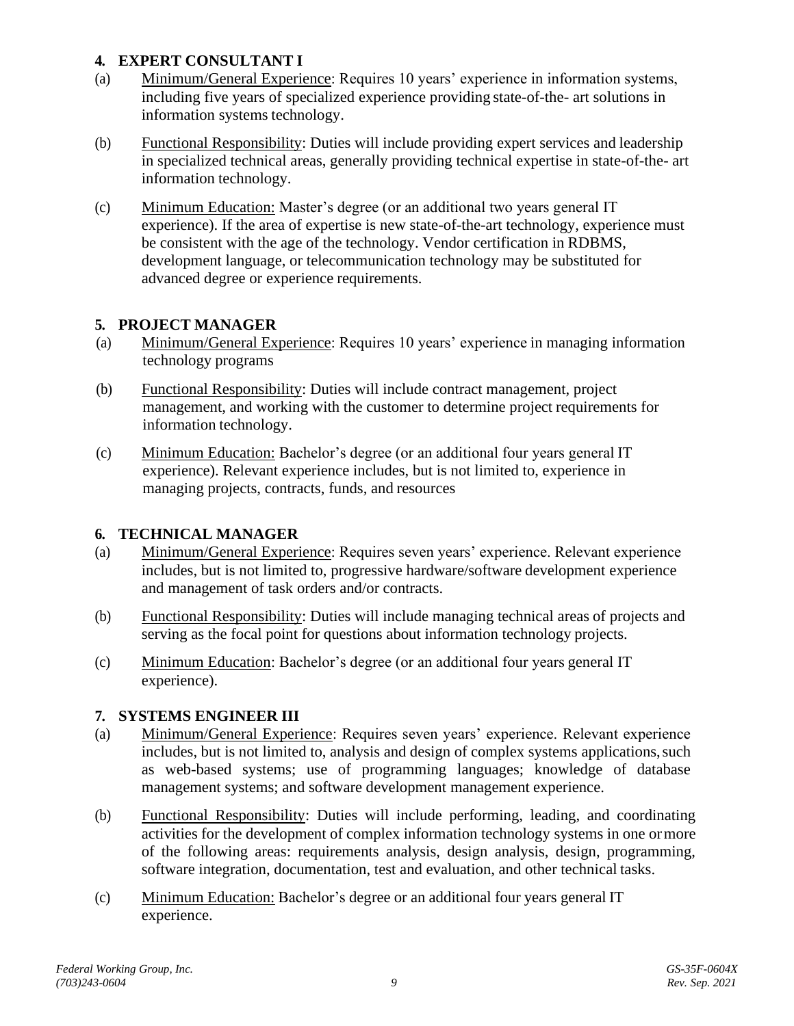# **4. EXPERT CONSULTANT I**

- (a) Minimum/General Experience: Requires 10 years' experience in information systems, including five years of specialized experience providing state-of-the- art solutions in information systems technology.
- (b) Functional Responsibility: Duties will include providing expert services and leadership in specialized technical areas, generally providing technical expertise in state-of-the- art information technology.
- (c) Minimum Education: Master's degree (or an additional two years general IT experience). If the area of expertise is new state-of-the-art technology, experience must be consistent with the age of the technology. Vendor certification in RDBMS, development language, or telecommunication technology may be substituted for advanced degree or experience requirements.

### **5. PROJECT MANAGER**

- (a) Minimum/General Experience: Requires 10 years' experience in managing information technology programs
- (b) Functional Responsibility: Duties will include contract management, project management, and working with the customer to determine project requirements for information technology.
- (c) Minimum Education: Bachelor's degree (or an additional four years general IT experience). Relevant experience includes, but is not limited to, experience in managing projects, contracts, funds, and resources

# **6. TECHNICAL MANAGER**

- (a) Minimum/General Experience: Requires seven years' experience. Relevant experience includes, but is not limited to, progressive hardware/software development experience and management of task orders and/or contracts.
- (b) Functional Responsibility: Duties will include managing technical areas of projects and serving as the focal point for questions about information technology projects.
- (c) Minimum Education: Bachelor's degree (or an additional four years general IT experience).

# **7. SYSTEMS ENGINEER III**

- (a) Minimum/General Experience: Requires seven years' experience. Relevant experience includes, but is not limited to, analysis and design of complex systems applications, such as web-based systems; use of programming languages; knowledge of database management systems; and software development management experience.
- (b) Functional Responsibility: Duties will include performing, leading, and coordinating activities for the development of complex information technology systems in one ormore of the following areas: requirements analysis, design analysis, design, programming, software integration, documentation, test and evaluation, and other technical tasks.
- (c) Minimum Education: Bachelor's degree or an additional four years general IT experience.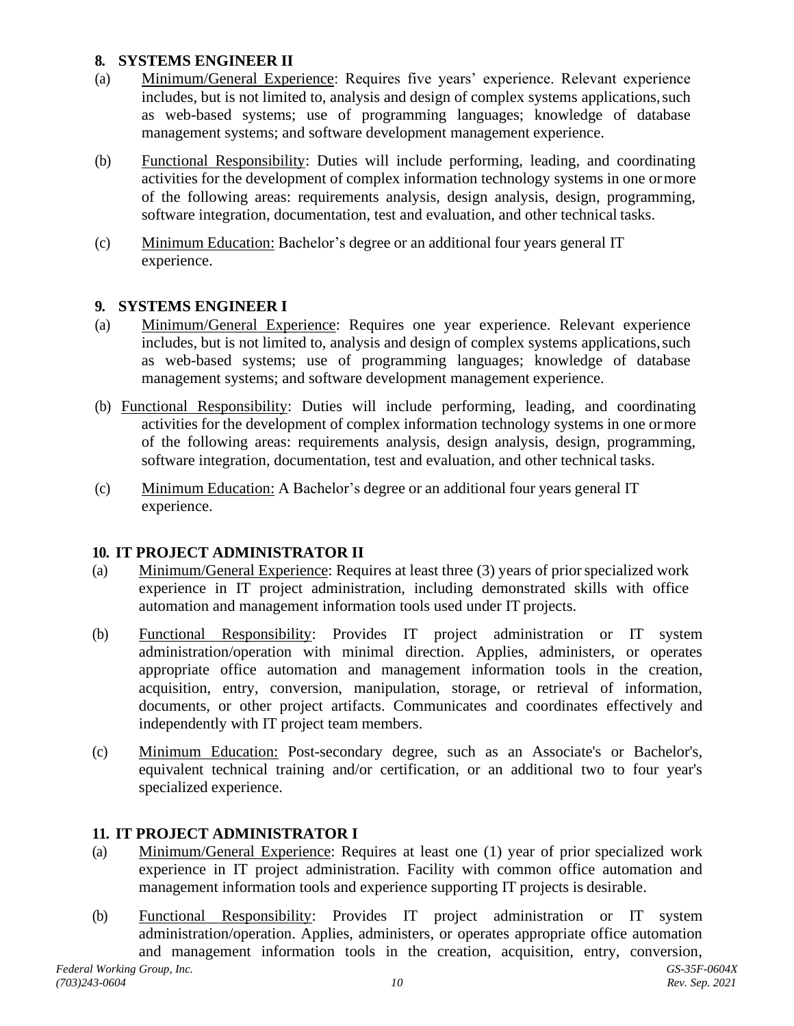## **8. SYSTEMS ENGINEER II**

- (a) Minimum/General Experience: Requires five years' experience. Relevant experience includes, but is not limited to, analysis and design of complex systems applications, such as web-based systems; use of programming languages; knowledge of database management systems; and software development management experience.
- (b) Functional Responsibility: Duties will include performing, leading, and coordinating activities for the development of complex information technology systems in one ormore of the following areas: requirements analysis, design analysis, design, programming, software integration, documentation, test and evaluation, and other technical tasks.
- (c) Minimum Education: Bachelor's degree or an additional four years general IT experience.

### **9. SYSTEMS ENGINEER I**

- (a) Minimum/General Experience: Requires one year experience. Relevant experience includes, but is not limited to, analysis and design of complex systems applications, such as web-based systems; use of programming languages; knowledge of database management systems; and software development management experience.
- (b) Functional Responsibility: Duties will include performing, leading, and coordinating activities for the development of complex information technology systems in one ormore of the following areas: requirements analysis, design analysis, design, programming, software integration, documentation, test and evaluation, and other technical tasks.
- (c) Minimum Education: A Bachelor's degree or an additional four years general IT experience.

#### **10. IT PROJECT ADMINISTRATOR II**

- (a) Minimum/General Experience: Requires at least three (3) years of priorspecialized work experience in IT project administration, including demonstrated skills with office automation and management information tools used under IT projects.
- (b) Functional Responsibility: Provides IT project administration or IT system administration/operation with minimal direction. Applies, administers, or operates appropriate office automation and management information tools in the creation, acquisition, entry, conversion, manipulation, storage, or retrieval of information, documents, or other project artifacts. Communicates and coordinates effectively and independently with IT project team members.
- (c) Minimum Education: Post-secondary degree, such as an Associate's or Bachelor's, equivalent technical training and/or certification, or an additional two to four year's specialized experience.

#### **11. IT PROJECT ADMINISTRATOR I**

- (a) Minimum/General Experience: Requires at least one (1) year of prior specialized work experience in IT project administration. Facility with common office automation and management information tools and experience supporting IT projects is desirable.
- (b) Functional Responsibility: Provides IT project administration or IT system administration/operation. Applies, administers, or operates appropriate office automation and management information tools in the creation, acquisition, entry, conversion,